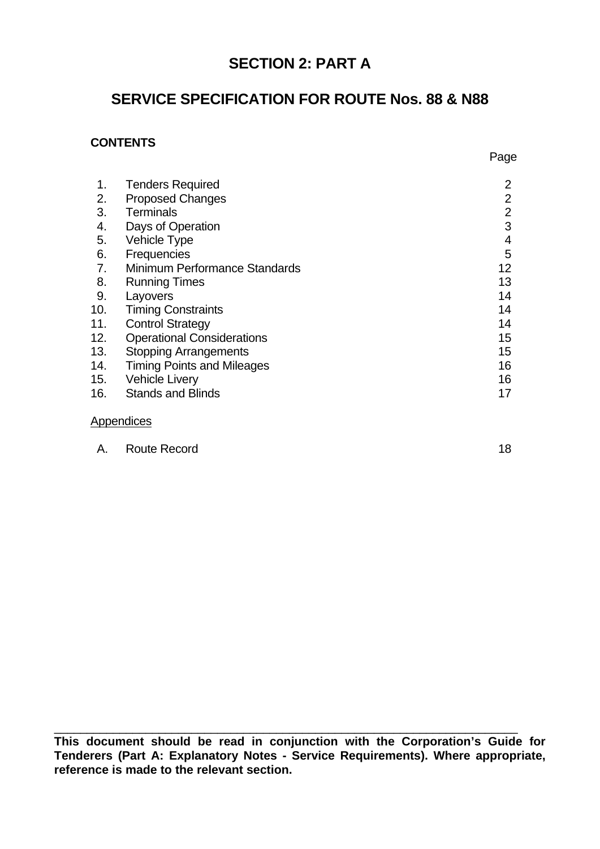# **SECTION 2: PART A**

# **SERVICE SPECIFICATION FOR ROUTE Nos. 88 & N88**

## **CONTENTS**

| 1.  | <b>Tenders Required</b>           | $\overline{2}$  |
|-----|-----------------------------------|-----------------|
|     |                                   | $\overline{2}$  |
| 2.  | <b>Proposed Changes</b>           |                 |
| 3.  | <b>Terminals</b>                  | $\overline{2}$  |
| 4.  | Days of Operation                 | 3               |
| 5.  | Vehicle Type                      | 4               |
| 6.  | Frequencies                       | 5               |
| 7.  | Minimum Performance Standards     | 12 <sub>2</sub> |
| 8.  | <b>Running Times</b>              | 13              |
| 9.  | Layovers                          | 14              |
| 10. | <b>Timing Constraints</b>         | 14              |
| 11. | <b>Control Strategy</b>           | 14              |
| 12. | <b>Operational Considerations</b> | 15              |
| 13. | <b>Stopping Arrangements</b>      | 15              |
| 14. | <b>Timing Points and Mileages</b> | 16              |
| 15. | <b>Vehicle Livery</b>             | 16              |
| 16. | <b>Stands and Blinds</b>          | 17              |
|     |                                   |                 |

#### **Appendices**

| A. | <b>Route Record</b> |  |
|----|---------------------|--|
|    |                     |  |

**This document should be read in conjunction with the Corporation's Guide for Tenderers (Part A: Explanatory Notes - Service Requirements). Where appropriate, reference is made to the relevant section.**

 $\_$  , and the contribution of the contribution of  $\overline{a}$  ,  $\overline{b}$  ,  $\overline{c}$  ,  $\overline{c}$  ,  $\overline{c}$  ,  $\overline{c}$  ,  $\overline{c}$  ,  $\overline{c}$  ,  $\overline{c}$  ,  $\overline{c}$  ,  $\overline{c}$  ,  $\overline{c}$  ,  $\overline{c}$  ,  $\overline{c}$  ,  $\overline{c}$  ,  $\overline{c$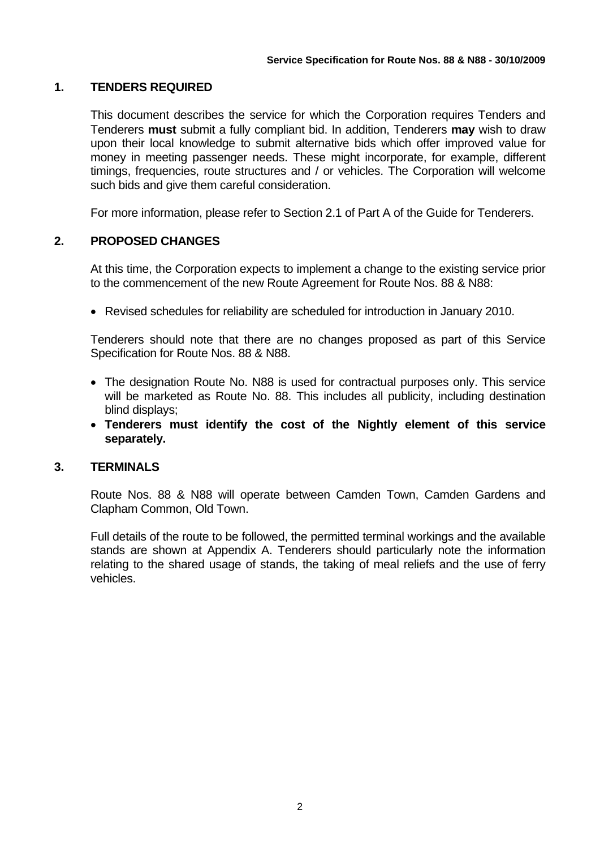## **1. TENDERS REQUIRED**

This document describes the service for which the Corporation requires Tenders and Tenderers **must** submit a fully compliant bid. In addition, Tenderers **may** wish to draw upon their local knowledge to submit alternative bids which offer improved value for money in meeting passenger needs. These might incorporate, for example, different timings, frequencies, route structures and / or vehicles. The Corporation will welcome such bids and give them careful consideration.

For more information, please refer to Section 2.1 of Part A of the Guide for Tenderers.

## **2. PROPOSED CHANGES**

At this time, the Corporation expects to implement a change to the existing service prior to the commencement of the new Route Agreement for Route Nos. 88 & N88:

• Revised schedules for reliability are scheduled for introduction in January 2010.

Tenderers should note that there are no changes proposed as part of this Service Specification for Route Nos. 88 & N88.

- The designation Route No. N88 is used for contractual purposes only. This service will be marketed as Route No. 88. This includes all publicity, including destination blind displays;
- **Tenderers must identify the cost of the Nightly element of this service separately.**

### **3. TERMINALS**

Route Nos. 88 & N88 will operate between Camden Town, Camden Gardens and Clapham Common, Old Town.

Full details of the route to be followed, the permitted terminal workings and the available stands are shown at Appendix A. Tenderers should particularly note the information relating to the shared usage of stands, the taking of meal reliefs and the use of ferry vehicles.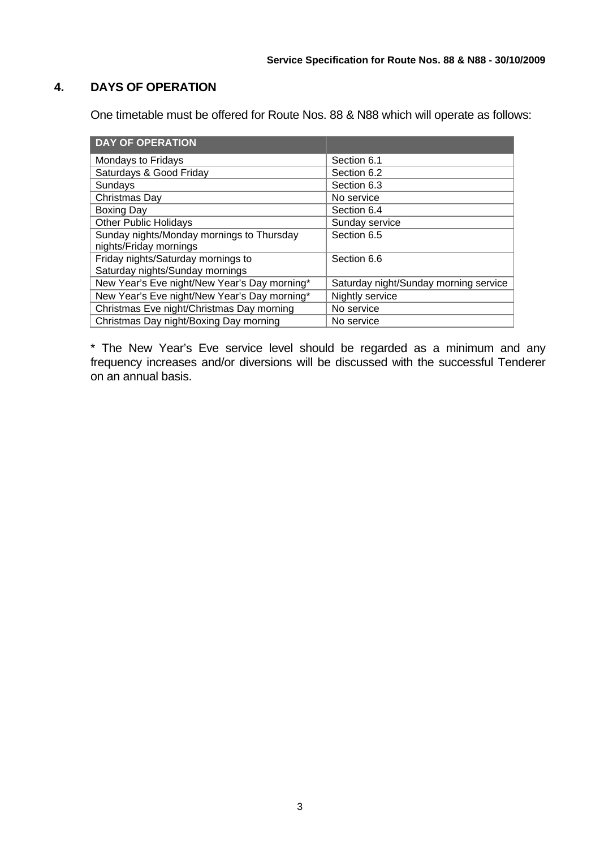## **4. DAYS OF OPERATION**

One timetable must be offered for Route Nos. 88 & N88 which will operate as follows:

| <b>DAY OF OPERATION</b>                      |                                       |
|----------------------------------------------|---------------------------------------|
| Mondays to Fridays                           | Section 6.1                           |
| Saturdays & Good Friday                      | Section 6.2                           |
| Sundays                                      | Section 6.3                           |
| Christmas Day                                | No service                            |
| <b>Boxing Day</b>                            | Section 6.4                           |
| <b>Other Public Holidays</b>                 | Sunday service                        |
| Sunday nights/Monday mornings to Thursday    | Section 6.5                           |
| nights/Friday mornings                       |                                       |
| Friday nights/Saturday mornings to           | Section 6.6                           |
| Saturday nights/Sunday mornings              |                                       |
| New Year's Eve night/New Year's Day morning* | Saturday night/Sunday morning service |
| New Year's Eve night/New Year's Day morning* | Nightly service                       |
| Christmas Eve night/Christmas Day morning    | No service                            |
| Christmas Day night/Boxing Day morning       | No service                            |

\* The New Year's Eve service level should be regarded as a minimum and any frequency increases and/or diversions will be discussed with the successful Tenderer on an annual basis.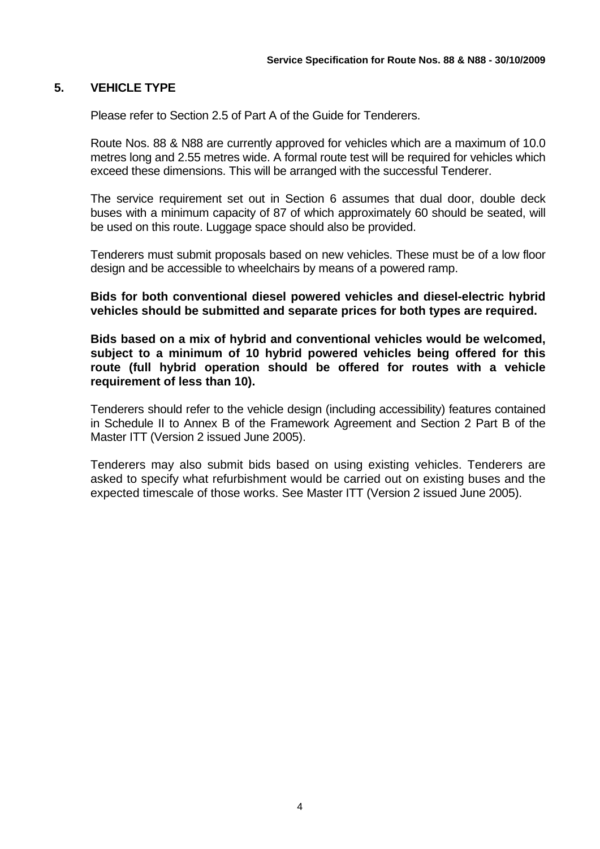#### **5. VEHICLE TYPE**

Please refer to Section 2.5 of Part A of the Guide for Tenderers.

Route Nos. 88 & N88 are currently approved for vehicles which are a maximum of 10.0 metres long and 2.55 metres wide. A formal route test will be required for vehicles which exceed these dimensions. This will be arranged with the successful Tenderer.

The service requirement set out in Section 6 assumes that dual door, double deck buses with a minimum capacity of 87 of which approximately 60 should be seated, will be used on this route. Luggage space should also be provided.

Tenderers must submit proposals based on new vehicles. These must be of a low floor design and be accessible to wheelchairs by means of a powered ramp.

**Bids for both conventional diesel powered vehicles and diesel-electric hybrid vehicles should be submitted and separate prices for both types are required.** 

**Bids based on a mix of hybrid and conventional vehicles would be welcomed, subject to a minimum of 10 hybrid powered vehicles being offered for this route (full hybrid operation should be offered for routes with a vehicle requirement of less than 10).** 

Tenderers should refer to the vehicle design (including accessibility) features contained in Schedule II to Annex B of the Framework Agreement and Section 2 Part B of the Master ITT (Version 2 issued June 2005).

 Tenderers may also submit bids based on using existing vehicles. Tenderers are asked to specify what refurbishment would be carried out on existing buses and the expected timescale of those works. See Master ITT (Version 2 issued June 2005).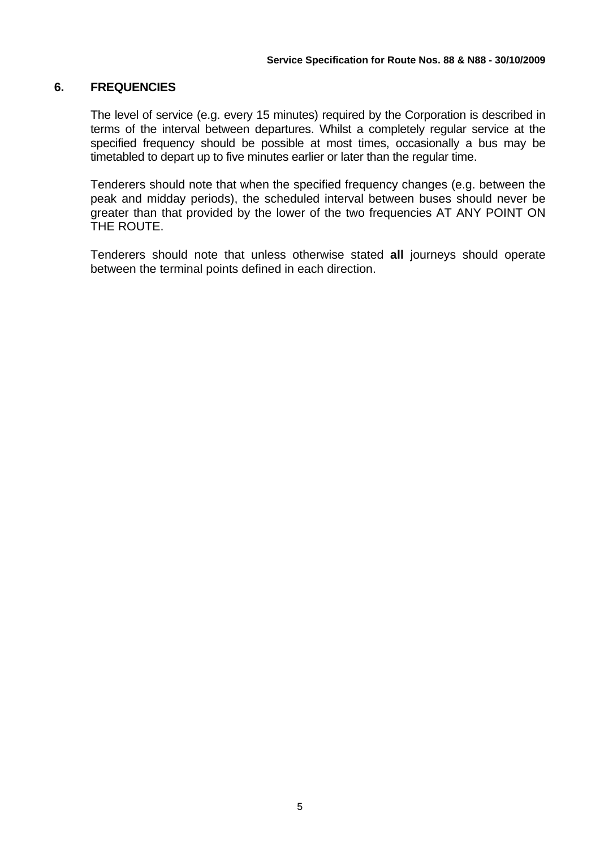#### **6. FREQUENCIES**

The level of service (e.g. every 15 minutes) required by the Corporation is described in terms of the interval between departures. Whilst a completely regular service at the specified frequency should be possible at most times, occasionally a bus may be timetabled to depart up to five minutes earlier or later than the regular time.

Tenderers should note that when the specified frequency changes (e.g. between the peak and midday periods), the scheduled interval between buses should never be greater than that provided by the lower of the two frequencies AT ANY POINT ON THE ROUTE.

Tenderers should note that unless otherwise stated **all** journeys should operate between the terminal points defined in each direction.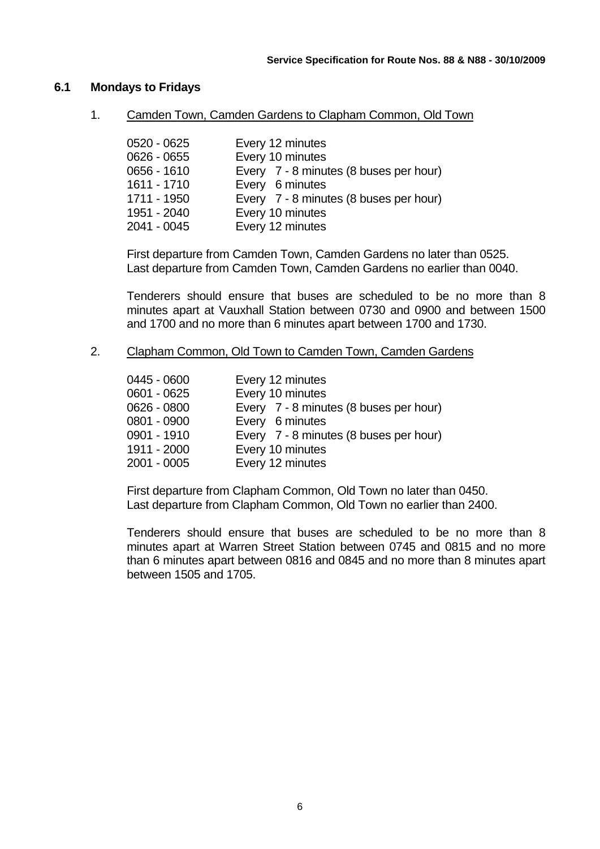#### **6.1 Mondays to Fridays**

1. Camden Town, Camden Gardens to Clapham Common, Old Town

| 0520 - 0625   | Every 12 minutes                       |
|---------------|----------------------------------------|
| $0626 - 0655$ | Every 10 minutes                       |
| $0656 - 1610$ | Every 7 - 8 minutes (8 buses per hour) |
| 1611 - 1710   | Every 6 minutes                        |
| 1711 - 1950   | Every 7 - 8 minutes (8 buses per hour) |
| 1951 - 2040   | Every 10 minutes                       |
| 2041 - 0045   | Every 12 minutes                       |

First departure from Camden Town, Camden Gardens no later than 0525. Last departure from Camden Town, Camden Gardens no earlier than 0040.

Tenderers should ensure that buses are scheduled to be no more than 8 minutes apart at Vauxhall Station between 0730 and 0900 and between 1500 and 1700 and no more than 6 minutes apart between 1700 and 1730.

2. Clapham Common, Old Town to Camden Town, Camden Gardens

| 0445 - 0600 | Every 12 minutes                       |
|-------------|----------------------------------------|
| 0601 - 0625 | Every 10 minutes                       |
| 0626 - 0800 | Every 7 - 8 minutes (8 buses per hour) |
| 0801 - 0900 | Every 6 minutes                        |
| 0901 - 1910 | Every 7 - 8 minutes (8 buses per hour) |
| 1911 - 2000 | Every 10 minutes                       |
| 2001 - 0005 | Every 12 minutes                       |
|             |                                        |

First departure from Clapham Common, Old Town no later than 0450. Last departure from Clapham Common, Old Town no earlier than 2400.

Tenderers should ensure that buses are scheduled to be no more than 8 minutes apart at Warren Street Station between 0745 and 0815 and no more than 6 minutes apart between 0816 and 0845 and no more than 8 minutes apart between 1505 and 1705.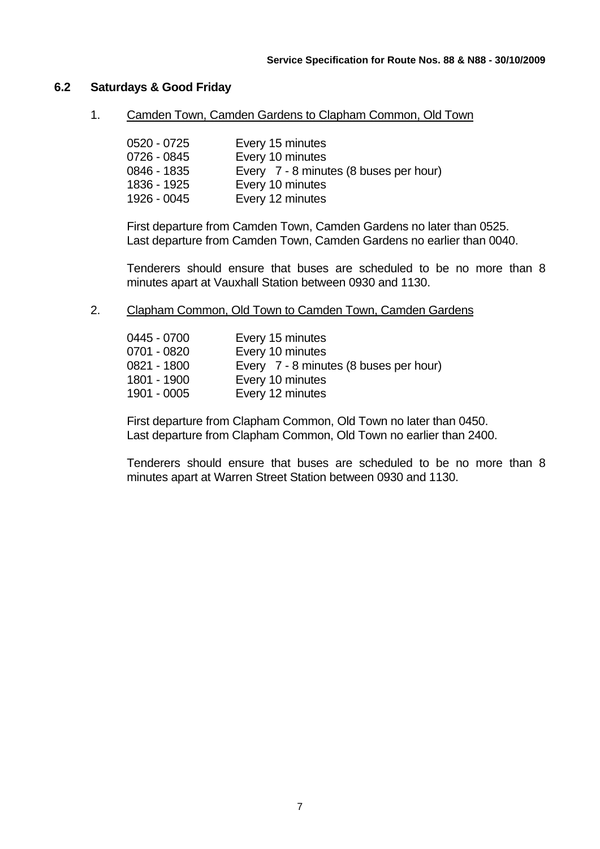#### **6.2 Saturdays & Good Friday**

1. Camden Town, Camden Gardens to Clapham Common, Old Town

| 0520 - 0725 | Every 15 minutes                       |
|-------------|----------------------------------------|
| 0726 - 0845 | Every 10 minutes                       |
| 0846 - 1835 | Every 7 - 8 minutes (8 buses per hour) |
| 1836 - 1925 | Every 10 minutes                       |
| 1926 - 0045 | Every 12 minutes                       |

First departure from Camden Town, Camden Gardens no later than 0525. Last departure from Camden Town, Camden Gardens no earlier than 0040.

Tenderers should ensure that buses are scheduled to be no more than 8 minutes apart at Vauxhall Station between 0930 and 1130.

2. Clapham Common, Old Town to Camden Town, Camden Gardens

| 0445 - 0700 | Every 15 minutes                       |
|-------------|----------------------------------------|
| 0701 - 0820 | Every 10 minutes                       |
| 0821 - 1800 | Every 7 - 8 minutes (8 buses per hour) |
| 1801 - 1900 | Every 10 minutes                       |
| 1901 - 0005 | Every 12 minutes                       |

First departure from Clapham Common, Old Town no later than 0450. Last departure from Clapham Common, Old Town no earlier than 2400.

Tenderers should ensure that buses are scheduled to be no more than 8 minutes apart at Warren Street Station between 0930 and 1130.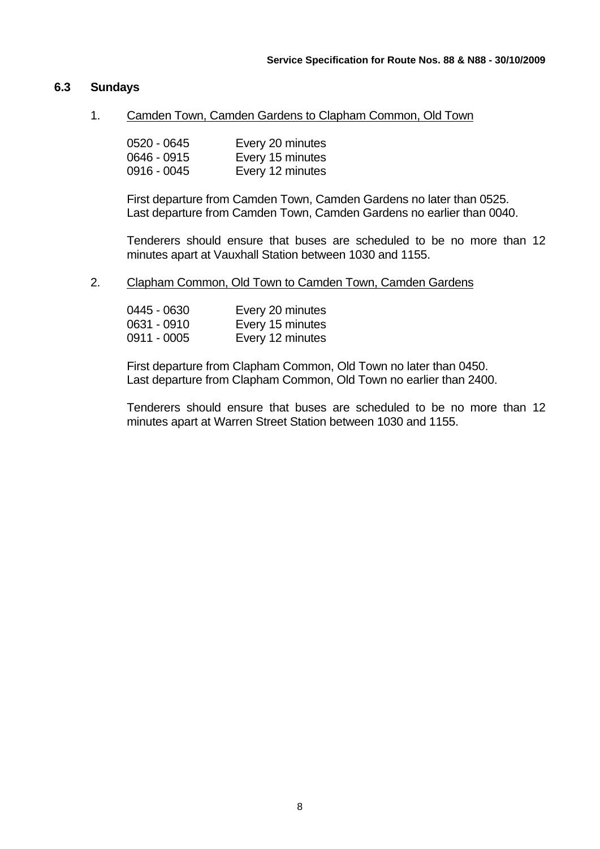#### **6.3 Sundays**

1. Camden Town, Camden Gardens to Clapham Common, Old Town

| 0520 - 0645   | Every 20 minutes |
|---------------|------------------|
| $0646 - 0915$ | Every 15 minutes |
| 0916 - 0045   | Every 12 minutes |

First departure from Camden Town, Camden Gardens no later than 0525. Last departure from Camden Town, Camden Gardens no earlier than 0040.

Tenderers should ensure that buses are scheduled to be no more than 12 minutes apart at Vauxhall Station between 1030 and 1155.

2. Clapham Common, Old Town to Camden Town, Camden Gardens

| 0445 - 0630 | Every 20 minutes |
|-------------|------------------|
| 0631 - 0910 | Every 15 minutes |
| 0911 - 0005 | Every 12 minutes |

First departure from Clapham Common, Old Town no later than 0450. Last departure from Clapham Common, Old Town no earlier than 2400.

Tenderers should ensure that buses are scheduled to be no more than 12 minutes apart at Warren Street Station between 1030 and 1155.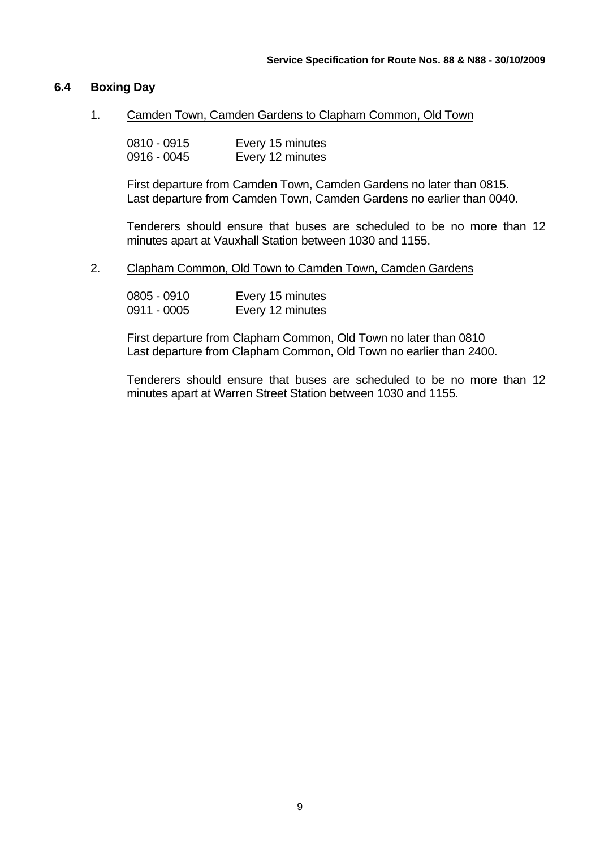#### **6.4 Boxing Day**

1. Camden Town, Camden Gardens to Clapham Common, Old Town

| 0810 - 0915 | Every 15 minutes |
|-------------|------------------|
| 0916 - 0045 | Every 12 minutes |

First departure from Camden Town, Camden Gardens no later than 0815. Last departure from Camden Town, Camden Gardens no earlier than 0040.

Tenderers should ensure that buses are scheduled to be no more than 12 minutes apart at Vauxhall Station between 1030 and 1155.

2. Clapham Common, Old Town to Camden Town, Camden Gardens

| 0805 - 0910 | Every 15 minutes |
|-------------|------------------|
| 0911 - 0005 | Every 12 minutes |

First departure from Clapham Common, Old Town no later than 0810 Last departure from Clapham Common, Old Town no earlier than 2400.

Tenderers should ensure that buses are scheduled to be no more than 12 minutes apart at Warren Street Station between 1030 and 1155.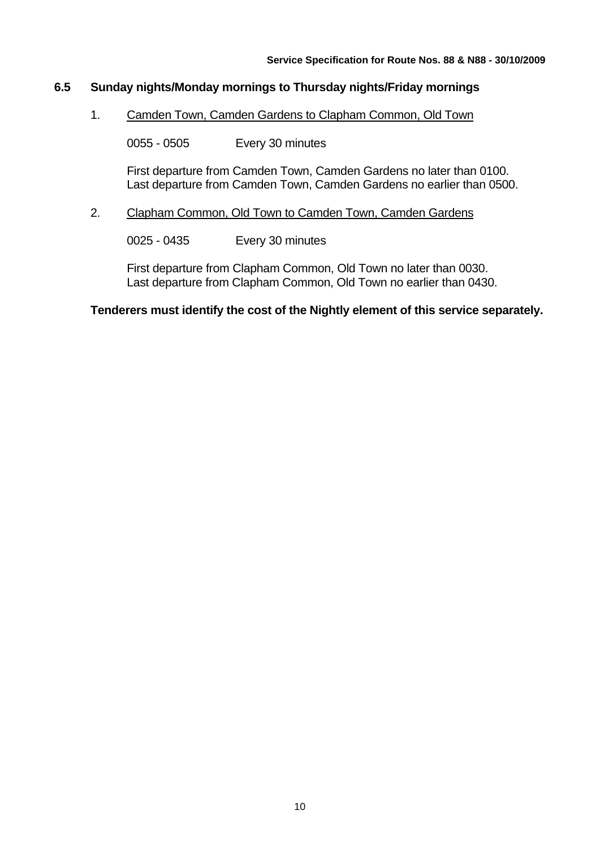### **6.5 Sunday nights/Monday mornings to Thursday nights/Friday mornings**

1. Camden Town, Camden Gardens to Clapham Common, Old Town

0055 - 0505 Every 30 minutes

First departure from Camden Town, Camden Gardens no later than 0100. Last departure from Camden Town, Camden Gardens no earlier than 0500.

#### 2. Clapham Common, Old Town to Camden Town, Camden Gardens

0025 - 0435 Every 30 minutes

First departure from Clapham Common, Old Town no later than 0030. Last departure from Clapham Common, Old Town no earlier than 0430.

#### **Tenderers must identify the cost of the Nightly element of this service separately.**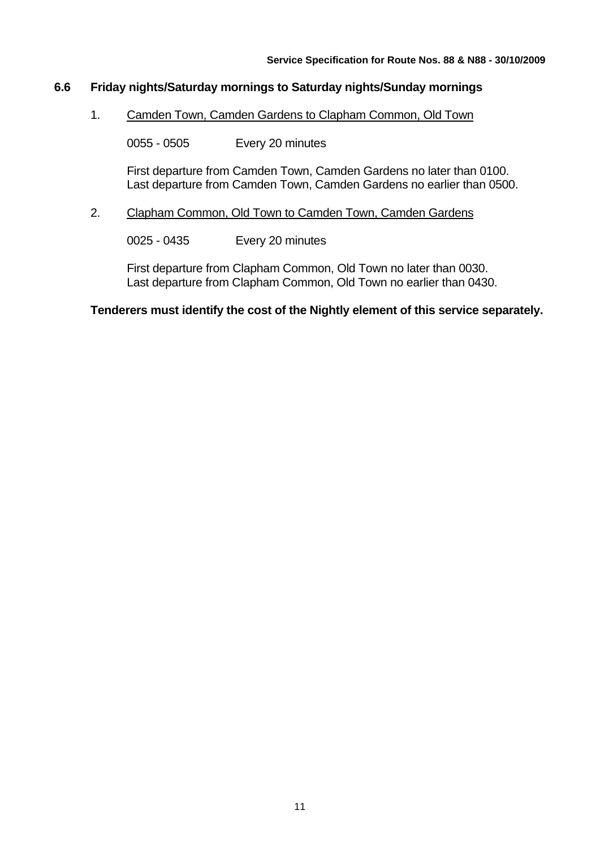### **6.6 Friday nights/Saturday mornings to Saturday nights/Sunday mornings**

1. Camden Town, Camden Gardens to Clapham Common, Old Town

0055 - 0505 Every 20 minutes

First departure from Camden Town, Camden Gardens no later than 0100. Last departure from Camden Town, Camden Gardens no earlier than 0500.

#### 2. Clapham Common, Old Town to Camden Town, Camden Gardens

0025 - 0435 Every 20 minutes

First departure from Clapham Common, Old Town no later than 0030. Last departure from Clapham Common, Old Town no earlier than 0430.

#### **Tenderers must identify the cost of the Nightly element of this service separately.**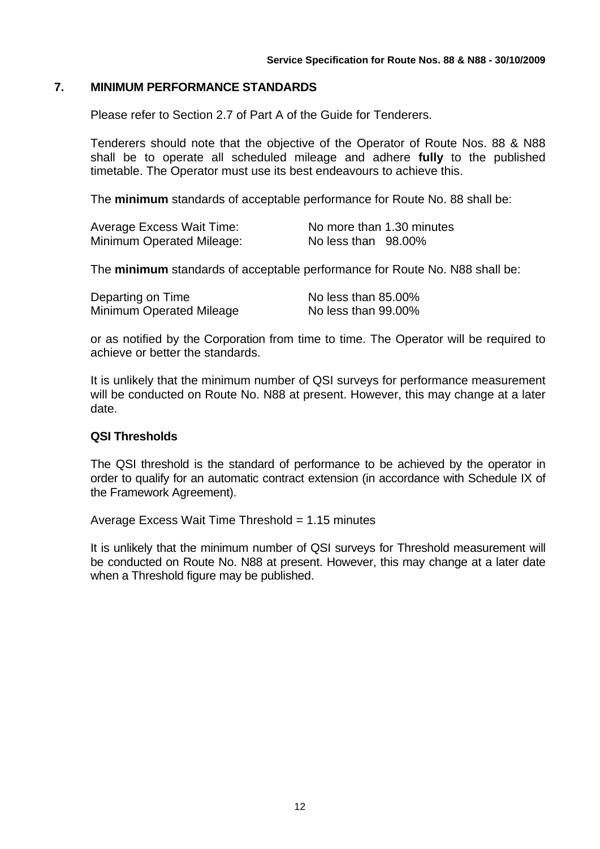#### **7. MINIMUM PERFORMANCE STANDARDS**

Please refer to Section 2.7 of Part A of the Guide for Tenderers.

Tenderers should note that the objective of the Operator of Route Nos. 88 & N88 shall be to operate all scheduled mileage and adhere **fully** to the published timetable. The Operator must use its best endeavours to achieve this.

The **minimum** standards of acceptable performance for Route No. 88 shall be:

| Average Excess Wait Time: | No more than 1.30 minutes |
|---------------------------|---------------------------|
| Minimum Operated Mileage: | No less than 98.00%       |

The **minimum** standards of acceptable performance for Route No. N88 shall be:

| Departing on Time        | No less than 85.00% |
|--------------------------|---------------------|
| Minimum Operated Mileage | No less than 99.00% |

or as notified by the Corporation from time to time. The Operator will be required to achieve or better the standards.

It is unlikely that the minimum number of QSI surveys for performance measurement will be conducted on Route No. N88 at present. However, this may change at a later date.

#### **QSI Thresholds**

The QSI threshold is the standard of performance to be achieved by the operator in order to qualify for an automatic contract extension (in accordance with Schedule IX of the Framework Agreement).

Average Excess Wait Time Threshold = 1.15 minutes

It is unlikely that the minimum number of QSI surveys for Threshold measurement will be conducted on Route No. N88 at present. However, this may change at a later date when a Threshold figure may be published.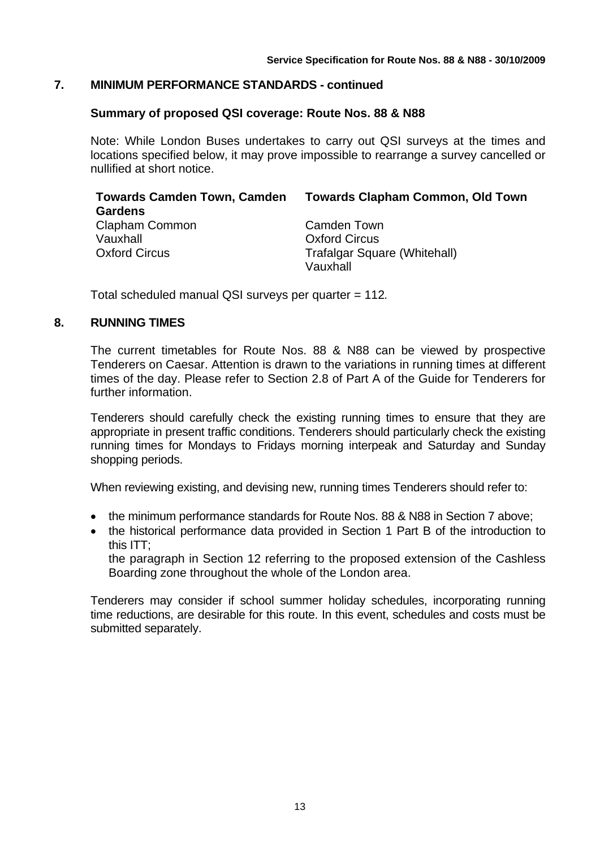#### **7. MINIMUM PERFORMANCE STANDARDS - continued**

#### **Summary of proposed QSI coverage: Route Nos. 88 & N88**

Note: While London Buses undertakes to carry out QSI surveys at the times and locations specified below, it may prove impossible to rearrange a survey cancelled or nullified at short notice.

| <b>Towards Camden Town, Camden</b> | <b>Towards Clapham Common, Old Town</b> |
|------------------------------------|-----------------------------------------|
| <b>Gardens</b>                     |                                         |
| Clapham Common                     | <b>Camden Town</b>                      |
| Vauxhall                           | <b>Oxford Circus</b>                    |
| <b>Oxford Circus</b>               | <b>Trafalgar Square (Whitehall)</b>     |
|                                    | Vauxhall                                |

Total scheduled manual QSI surveys per quarter = 112*.*

#### **8. RUNNING TIMES**

The current timetables for Route Nos. 88 & N88 can be viewed by prospective Tenderers on Caesar. Attention is drawn to the variations in running times at different times of the day. Please refer to Section 2.8 of Part A of the Guide for Tenderers for further information.

Tenderers should carefully check the existing running times to ensure that they are appropriate in present traffic conditions. Tenderers should particularly check the existing running times for Mondays to Fridays morning interpeak and Saturday and Sunday shopping periods.

When reviewing existing, and devising new, running times Tenderers should refer to:

- the minimum performance standards for Route Nos. 88 & N88 in Section 7 above:
- the historical performance data provided in Section 1 Part B of the introduction to this ITT;

the paragraph in Section 12 referring to the proposed extension of the Cashless Boarding zone throughout the whole of the London area.

Tenderers may consider if school summer holiday schedules, incorporating running time reductions, are desirable for this route. In this event, schedules and costs must be submitted separately.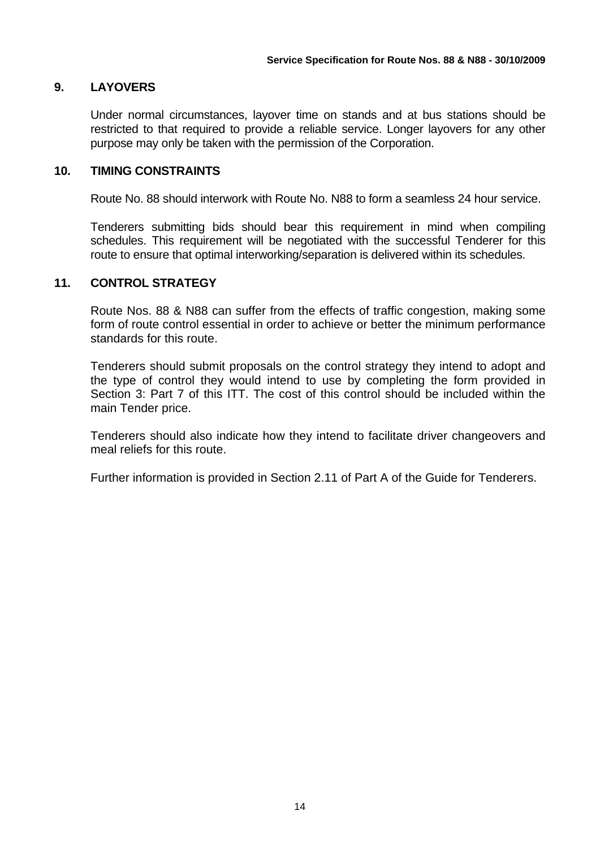## **9. LAYOVERS**

Under normal circumstances, layover time on stands and at bus stations should be restricted to that required to provide a reliable service. Longer layovers for any other purpose may only be taken with the permission of the Corporation.

#### **10. TIMING CONSTRAINTS**

Route No. 88 should interwork with Route No. N88 to form a seamless 24 hour service.

Tenderers submitting bids should bear this requirement in mind when compiling schedules. This requirement will be negotiated with the successful Tenderer for this route to ensure that optimal interworking/separation is delivered within its schedules.

#### **11. CONTROL STRATEGY**

Route Nos. 88 & N88 can suffer from the effects of traffic congestion, making some form of route control essential in order to achieve or better the minimum performance standards for this route.

Tenderers should submit proposals on the control strategy they intend to adopt and the type of control they would intend to use by completing the form provided in Section 3: Part 7 of this ITT. The cost of this control should be included within the main Tender price.

Tenderers should also indicate how they intend to facilitate driver changeovers and meal reliefs for this route.

Further information is provided in Section 2.11 of Part A of the Guide for Tenderers.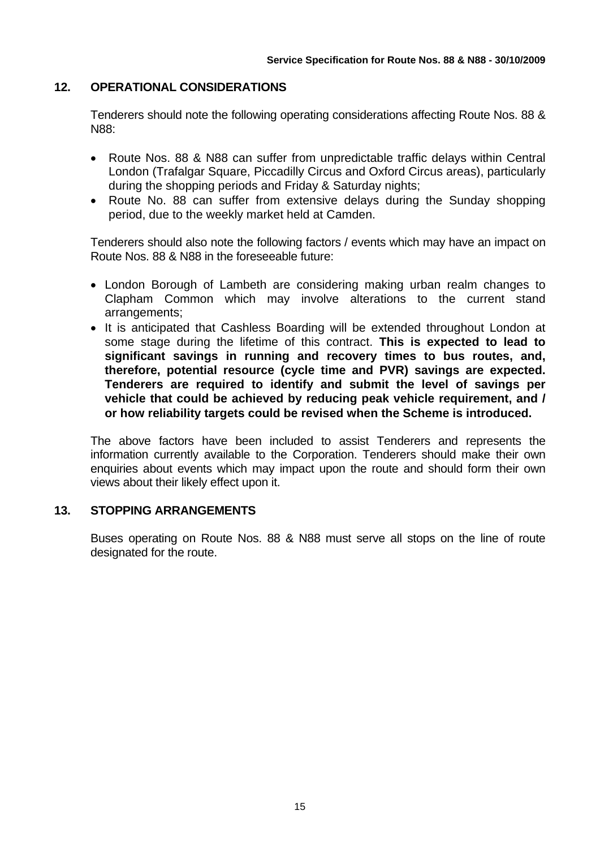#### **12. OPERATIONAL CONSIDERATIONS**

Tenderers should note the following operating considerations affecting Route Nos. 88 & N88:

- Route Nos. 88 & N88 can suffer from unpredictable traffic delays within Central London (Trafalgar Square, Piccadilly Circus and Oxford Circus areas), particularly during the shopping periods and Friday & Saturday nights;
- Route No. 88 can suffer from extensive delays during the Sunday shopping period, due to the weekly market held at Camden.

Tenderers should also note the following factors / events which may have an impact on Route Nos. 88 & N88 in the foreseeable future:

- London Borough of Lambeth are considering making urban realm changes to Clapham Common which may involve alterations to the current stand arrangements;
- It is anticipated that Cashless Boarding will be extended throughout London at some stage during the lifetime of this contract. **This is expected to lead to significant savings in running and recovery times to bus routes, and, therefore, potential resource (cycle time and PVR) savings are expected. Tenderers are required to identify and submit the level of savings per vehicle that could be achieved by reducing peak vehicle requirement, and / or how reliability targets could be revised when the Scheme is introduced.**

The above factors have been included to assist Tenderers and represents the information currently available to the Corporation. Tenderers should make their own enquiries about events which may impact upon the route and should form their own views about their likely effect upon it.

#### **13. STOPPING ARRANGEMENTS**

Buses operating on Route Nos. 88 & N88 must serve all stops on the line of route designated for the route.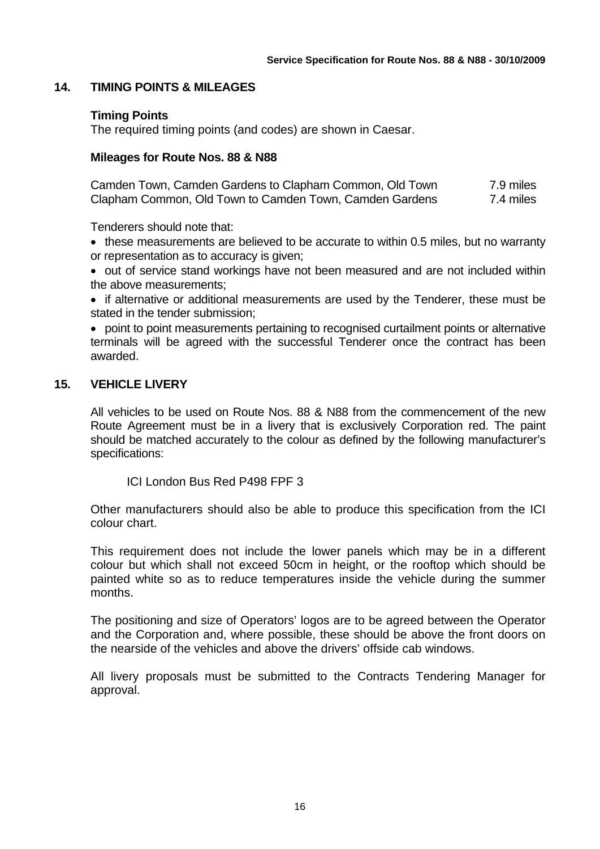#### **14. TIMING POINTS & MILEAGES**

#### **Timing Points**

The required timing points (and codes) are shown in Caesar.

#### **Mileages for Route Nos. 88 & N88**

Camden Town, Camden Gardens to Clapham Common, Old Town 7.9 miles Clapham Common, Old Town to Camden Town, Camden Gardens 7.4 miles

Tenderers should note that:

• these measurements are believed to be accurate to within 0.5 miles, but no warranty or representation as to accuracy is given;

• out of service stand workings have not been measured and are not included within the above measurements;

• if alternative or additional measurements are used by the Tenderer, these must be stated in the tender submission;

• point to point measurements pertaining to recognised curtailment points or alternative terminals will be agreed with the successful Tenderer once the contract has been awarded.

#### **15. VEHICLE LIVERY**

All vehicles to be used on Route Nos. 88 & N88 from the commencement of the new Route Agreement must be in a livery that is exclusively Corporation red. The paint should be matched accurately to the colour as defined by the following manufacturer's specifications:

ICI London Bus Red P498 FPF 3

Other manufacturers should also be able to produce this specification from the ICI colour chart.

This requirement does not include the lower panels which may be in a different colour but which shall not exceed 50cm in height, or the rooftop which should be painted white so as to reduce temperatures inside the vehicle during the summer months.

The positioning and size of Operators' logos are to be agreed between the Operator and the Corporation and, where possible, these should be above the front doors on the nearside of the vehicles and above the drivers' offside cab windows.

All livery proposals must be submitted to the Contracts Tendering Manager for approval.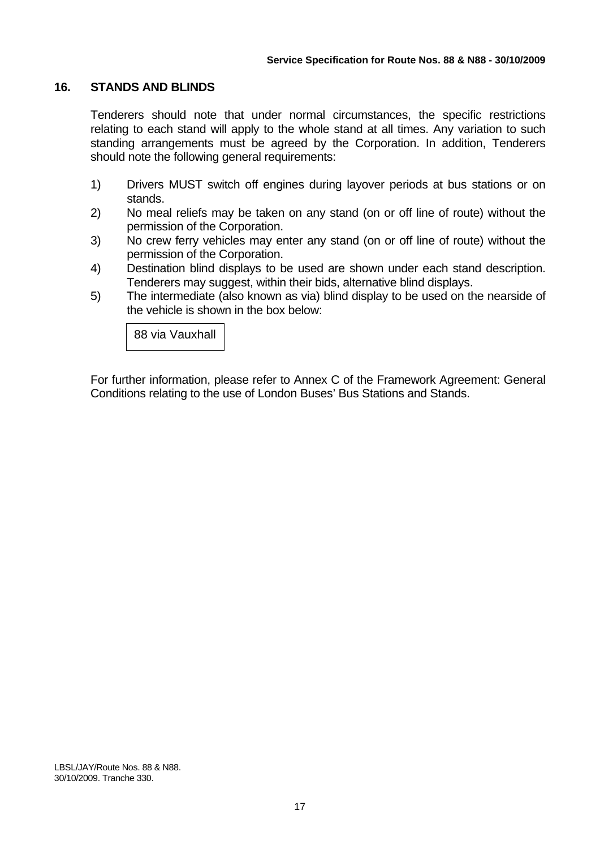#### **16. STANDS AND BLINDS**

Tenderers should note that under normal circumstances, the specific restrictions relating to each stand will apply to the whole stand at all times. Any variation to such standing arrangements must be agreed by the Corporation. In addition, Tenderers should note the following general requirements:

- 1) Drivers MUST switch off engines during layover periods at bus stations or on stands.
- 2) No meal reliefs may be taken on any stand (on or off line of route) without the permission of the Corporation.
- 3) No crew ferry vehicles may enter any stand (on or off line of route) without the permission of the Corporation.
- 4) Destination blind displays to be used are shown under each stand description. Tenderers may suggest, within their bids, alternative blind displays.
- 5) The intermediate (also known as via) blind display to be used on the nearside of the vehicle is shown in the box below:

88 via Vauxhall

For further information, please refer to Annex C of the Framework Agreement: General Conditions relating to the use of London Buses' Bus Stations and Stands.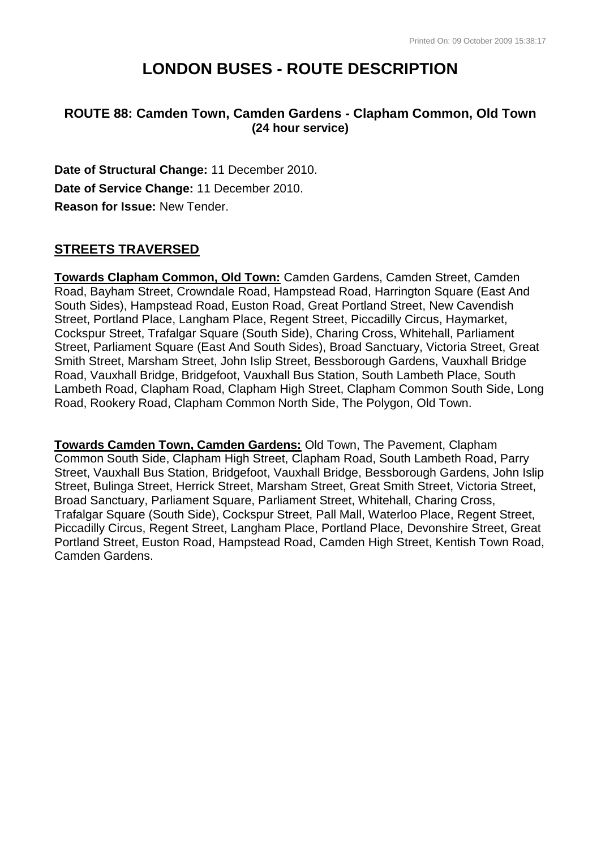# **LONDON BUSES - ROUTE DESCRIPTION**

## **ROUTE 88: Camden Town, Camden Gardens - Clapham Common, Old Town (24 hour service)**

**Date of Structural Change:** 11 December 2010. **Date of Service Change:** 11 December 2010. **Reason for Issue:** New Tender.

## **STREETS TRAVERSED**

**Towards Clapham Common, Old Town:** Camden Gardens, Camden Street, Camden Road, Bayham Street, Crowndale Road, Hampstead Road, Harrington Square (East And South Sides), Hampstead Road, Euston Road, Great Portland Street, New Cavendish Street, Portland Place, Langham Place, Regent Street, Piccadilly Circus, Haymarket, Cockspur Street, Trafalgar Square (South Side), Charing Cross, Whitehall, Parliament Street, Parliament Square (East And South Sides), Broad Sanctuary, Victoria Street, Great Smith Street, Marsham Street, John Islip Street, Bessborough Gardens, Vauxhall Bridge Road, Vauxhall Bridge, Bridgefoot, Vauxhall Bus Station, South Lambeth Place, South Lambeth Road, Clapham Road, Clapham High Street, Clapham Common South Side, Long Road, Rookery Road, Clapham Common North Side, The Polygon, Old Town.

**Towards Camden Town, Camden Gardens:** Old Town, The Pavement, Clapham Common South Side, Clapham High Street, Clapham Road, South Lambeth Road, Parry Street, Vauxhall Bus Station, Bridgefoot, Vauxhall Bridge, Bessborough Gardens, John Islip Street, Bulinga Street, Herrick Street, Marsham Street, Great Smith Street, Victoria Street, Broad Sanctuary, Parliament Square, Parliament Street, Whitehall, Charing Cross, Trafalgar Square (South Side), Cockspur Street, Pall Mall, Waterloo Place, Regent Street, Piccadilly Circus, Regent Street, Langham Place, Portland Place, Devonshire Street, Great Portland Street, Euston Road, Hampstead Road, Camden High Street, Kentish Town Road, Camden Gardens.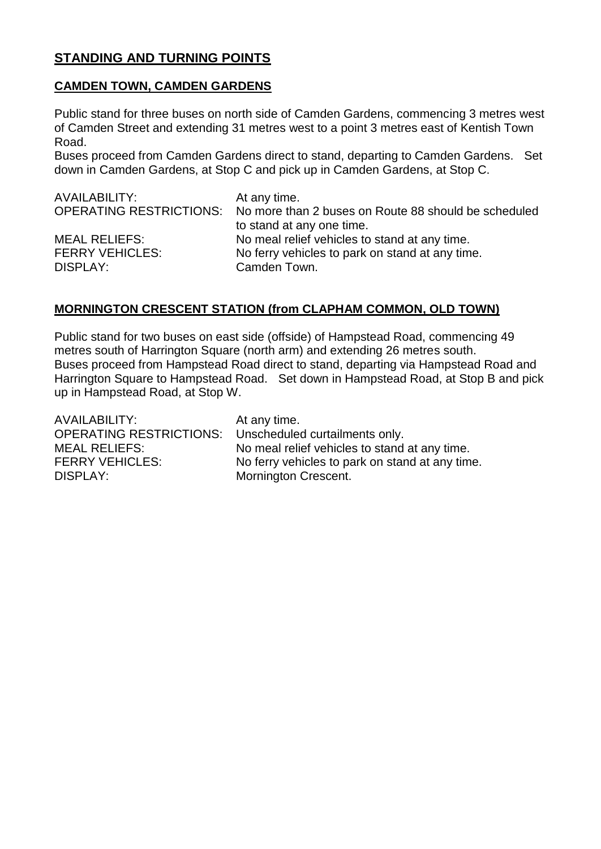## **STANDING AND TURNING POINTS**

### **CAMDEN TOWN, CAMDEN GARDENS**

Public stand for three buses on north side of Camden Gardens, commencing 3 metres west of Camden Street and extending 31 metres west to a point 3 metres east of Kentish Town Road.

Buses proceed from Camden Gardens direct to stand, departing to Camden Gardens. Set down in Camden Gardens, at Stop C and pick up in Camden Gardens, at Stop C.

| AVAILABILITY:          | At any time.                                                                 |
|------------------------|------------------------------------------------------------------------------|
|                        | OPERATING RESTRICTIONS: No more than 2 buses on Route 88 should be scheduled |
|                        | to stand at any one time.                                                    |
| <b>MEAL RELIEFS:</b>   | No meal relief vehicles to stand at any time.                                |
| <b>FERRY VEHICLES:</b> | No ferry vehicles to park on stand at any time.                              |
| DISPLAY:               | Camden Town.                                                                 |

## **MORNINGTON CRESCENT STATION (from CLAPHAM COMMON, OLD TOWN)**

Public stand for two buses on east side (offside) of Hampstead Road, commencing 49 metres south of Harrington Square (north arm) and extending 26 metres south. Buses proceed from Hampstead Road direct to stand, departing via Hampstead Road and Harrington Square to Hampstead Road. Set down in Hampstead Road, at Stop B and pick up in Hampstead Road, at Stop W.

| AVAILABILITY:                  | At any time.                                    |
|--------------------------------|-------------------------------------------------|
| <b>OPERATING RESTRICTIONS:</b> | Unscheduled curtailments only.                  |
| <b>MEAL RELIEFS:</b>           | No meal relief vehicles to stand at any time.   |
| <b>FERRY VEHICLES:</b>         | No ferry vehicles to park on stand at any time. |
| DISPLAY:                       | <b>Mornington Crescent.</b>                     |
|                                |                                                 |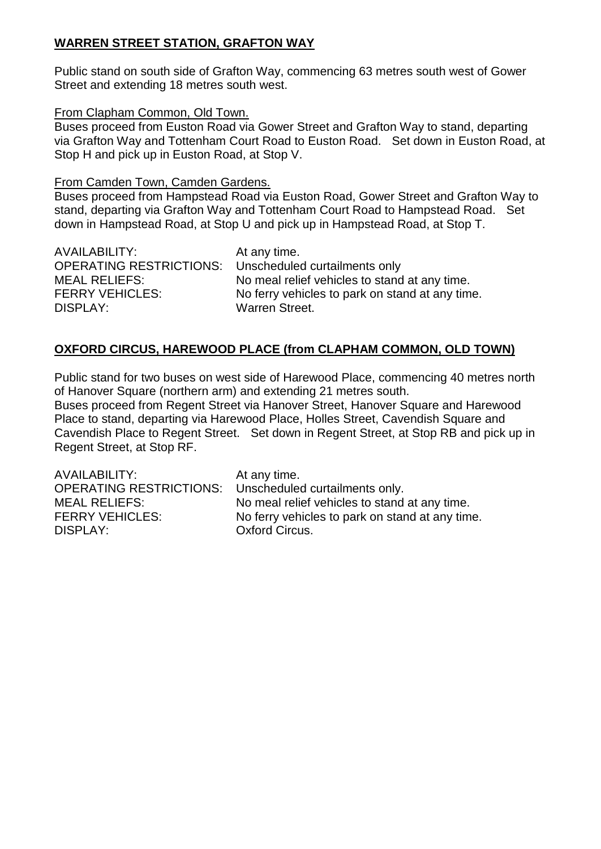## **WARREN STREET STATION, GRAFTON WAY**

Public stand on south side of Grafton Way, commencing 63 metres south west of Gower Street and extending 18 metres south west.

#### From Clapham Common, Old Town.

Buses proceed from Euston Road via Gower Street and Grafton Way to stand, departing via Grafton Way and Tottenham Court Road to Euston Road. Set down in Euston Road, at Stop H and pick up in Euston Road, at Stop V.

## From Camden Town, Camden Gardens.

Buses proceed from Hampstead Road via Euston Road, Gower Street and Grafton Way to stand, departing via Grafton Way and Tottenham Court Road to Hampstead Road. Set down in Hampstead Road, at Stop U and pick up in Hampstead Road, at Stop T.

AVAILABILITY: At any time. OPERATING RESTRICTIONS: Unscheduled curtailments only DISPLAY: Warren Street.

MEAL RELIEFS:<br>
FERRY VEHICLES: No ferry vehicles to park on stand at any time.<br>
No ferry vehicles to park on stand at any time No ferry vehicles to park on stand at any time.

## **OXFORD CIRCUS, HAREWOOD PLACE (from CLAPHAM COMMON, OLD TOWN)**

Public stand for two buses on west side of Harewood Place, commencing 40 metres north of Hanover Square (northern arm) and extending 21 metres south.

Buses proceed from Regent Street via Hanover Street, Hanover Square and Harewood Place to stand, departing via Harewood Place, Holles Street, Cavendish Square and Cavendish Place to Regent Street. Set down in Regent Street, at Stop RB and pick up in Regent Street, at Stop RF.

AVAILABILITY: At any time. OPERATING RESTRICTIONS: Unscheduled curtailments only. MEAL RELIEFS: No meal relief vehicles to stand at any time. FERRY VEHICLES: No ferry vehicles to park on stand at any time. DISPLAY: Oxford Circus.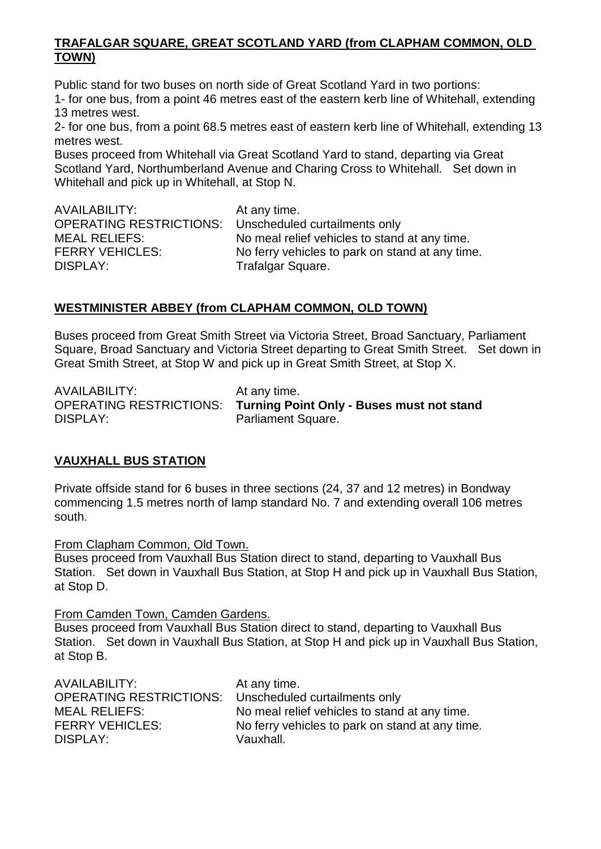### **TRAFALGAR SQUARE, GREAT SCOTLAND YARD (from CLAPHAM COMMON, OLD TOWN)**

Public stand for two buses on north side of Great Scotland Yard in two portions: 1- for one bus, from a point 46 metres east of the eastern kerb line of Whitehall, extending 13 metres west.

2- for one bus, from a point 68.5 metres east of eastern kerb line of Whitehall, extending 13 metres west.

Buses proceed from Whitehall via Great Scotland Yard to stand, departing via Great Scotland Yard, Northumberland Avenue and Charing Cross to Whitehall. Set down in Whitehall and pick up in Whitehall, at Stop N.

| AVAILABILITY:                                                | At any time.                                    |
|--------------------------------------------------------------|-------------------------------------------------|
| <b>OPERATING RESTRICTIONS:</b> Unscheduled curtailments only |                                                 |
| <b>MEAL RELIEFS:</b>                                         | No meal relief vehicles to stand at any time.   |
| <b>FERRY VEHICLES:</b>                                       | No ferry vehicles to park on stand at any time. |
| DISPLAY:                                                     | Trafalgar Square.                               |

## **WESTMINISTER ABBEY (from CLAPHAM COMMON, OLD TOWN)**

Buses proceed from Great Smith Street via Victoria Street, Broad Sanctuary, Parliament Square, Broad Sanctuary and Victoria Street departing to Great Smith Street. Set down in Great Smith Street, at Stop W and pick up in Great Smith Street, at Stop X.

AVAILABILITY: At any time. DISPLAY: Parliament Square.

OPERATING RESTRICTIONS: **Turning Point Only - Buses must not stand**

## **VAUXHALL BUS STATION**

Private offside stand for 6 buses in three sections (24, 37 and 12 metres) in Bondway commencing 1.5 metres north of lamp standard No. 7 and extending overall 106 metres south.

From Clapham Common, Old Town.

Buses proceed from Vauxhall Bus Station direct to stand, departing to Vauxhall Bus Station. Set down in Vauxhall Bus Station, at Stop H and pick up in Vauxhall Bus Station, at Stop D.

From Camden Town, Camden Gardens.

Buses proceed from Vauxhall Bus Station direct to stand, departing to Vauxhall Bus Station. Set down in Vauxhall Bus Station, at Stop H and pick up in Vauxhall Bus Station, at Stop B.

| AVAILABILITY:                  | At any time.                                    |
|--------------------------------|-------------------------------------------------|
| <b>OPERATING RESTRICTIONS:</b> | Unscheduled curtailments only                   |
| <b>MEAL RELIEFS:</b>           | No meal relief vehicles to stand at any time.   |
| <b>FERRY VEHICLES:</b>         | No ferry vehicles to park on stand at any time. |
| DISPLAY:                       | Vauxhall.                                       |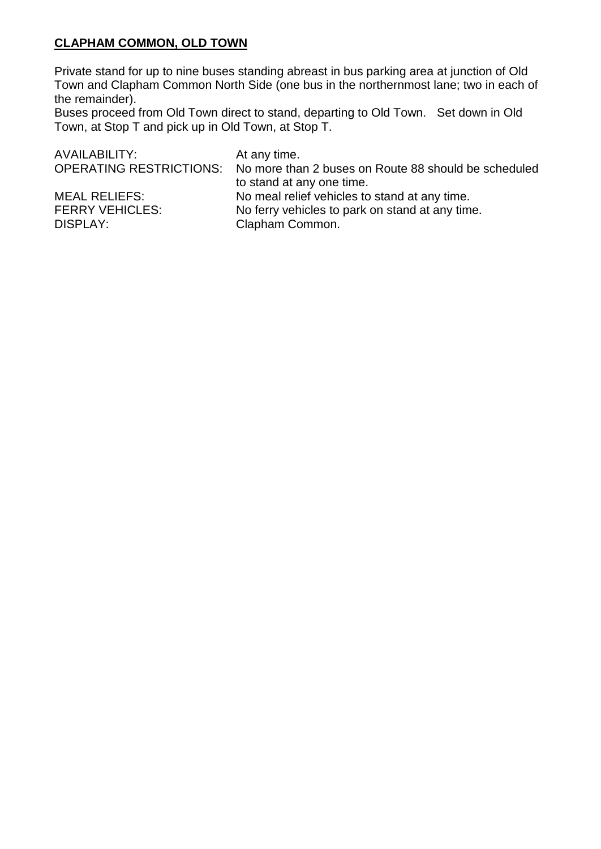## **CLAPHAM COMMON, OLD TOWN**

Private stand for up to nine buses standing abreast in bus parking area at junction of Old Town and Clapham Common North Side (one bus in the northernmost lane; two in each of the remainder).

Buses proceed from Old Town direct to stand, departing to Old Town. Set down in Old Town, at Stop T and pick up in Old Town, at Stop T.

| At any time.                                                                 |
|------------------------------------------------------------------------------|
| OPERATING RESTRICTIONS: No more than 2 buses on Route 88 should be scheduled |
| to stand at any one time.                                                    |
| No meal relief vehicles to stand at any time.                                |
| No ferry vehicles to park on stand at any time.                              |
| Clapham Common.                                                              |
|                                                                              |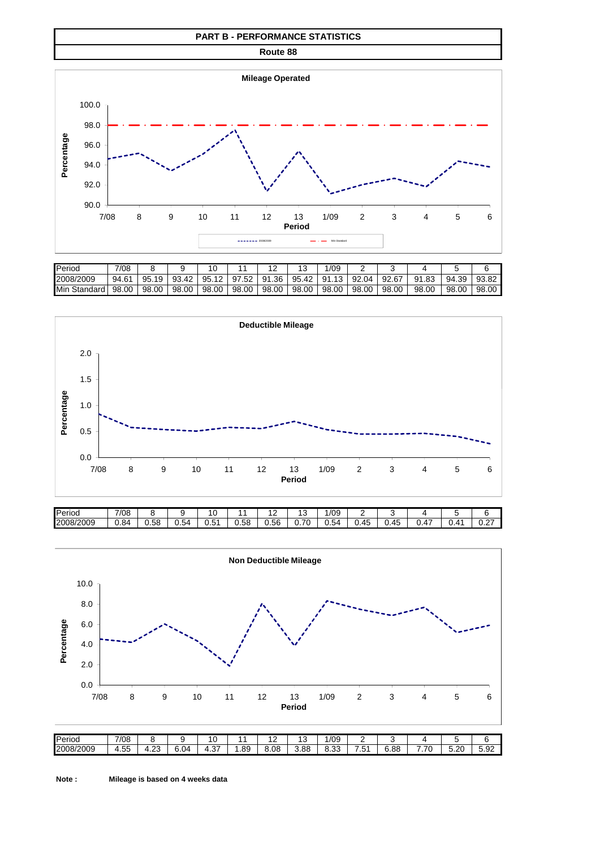#### **PART B - PERFORMANCE STATISTICS**

**Route 88**



| <b>I</b> Period          | 7/08  |           |           |       |           |           |           | /09       |           |       |                  |       |       |
|--------------------------|-------|-----------|-----------|-------|-----------|-----------|-----------|-----------|-----------|-------|------------------|-------|-------|
| 2008/2009                | 94.61 | 95<br>1 Q | 93<br>.42 | 95.12 | 97<br>.52 | .36<br>91 | 95<br>.42 | 91<br>13. | 92<br>.04 | 92.67 | .83<br><b>Q1</b> | 94.39 | 93.82 |
| <b>I</b> Min<br>Standard | 98.00 | 98.00     | 98.00     | 98.00 | 98.00     | 98.00     | 98.00     | 98.00     | 98.00     | 98.00 | 98.00            | 98.00 | 98.00 |





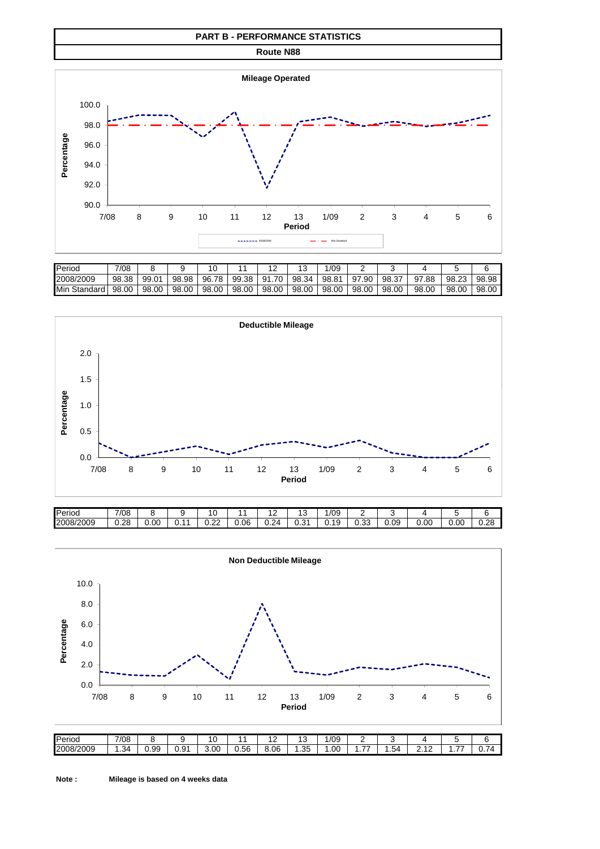#### **PART B - PERFORMANCE STATISTICS**

**Route N88**



| <b>Period</b>   | 7/08  |       |       |           |           |            |       | /09   |           |                   |            |       |       |
|-----------------|-------|-------|-------|-----------|-----------|------------|-------|-------|-----------|-------------------|------------|-------|-------|
| 2008/2009       | 98.38 | 99.01 | 98.98 | 96.<br>78 | 99<br>.38 | 70.<br>91. | 98.34 | 98.81 | 97<br>.90 | 98.3 <sub>1</sub> | 7.88<br>97 | 98.23 | 98.98 |
| Min<br>Standard | 98.00 | 98.00 | 98.00 | 98.00     | 98.00     | 98.00      | 98.00 | 98.00 | 98.00     | 98.00             | 98.00      | 98.00 | 98.00 |



| <b>Period</b> | 7/08 |      |       |                |      | . .            | ں ،                | /09  |                |      |      |      |            |
|---------------|------|------|-------|----------------|------|----------------|--------------------|------|----------------|------|------|------|------------|
| 2008/2009     | 0.28 | 0.00 | ັບ. . | $\sim$<br>◡.∠∠ | 0.06 | 24<br>-<br>◡.∠ | $\sim$<br>∽<br>∪.∪ | 0.19 | $\sim$<br>v.vu | 0.09 | 0.00 | 0.00 | n c<br>--- |

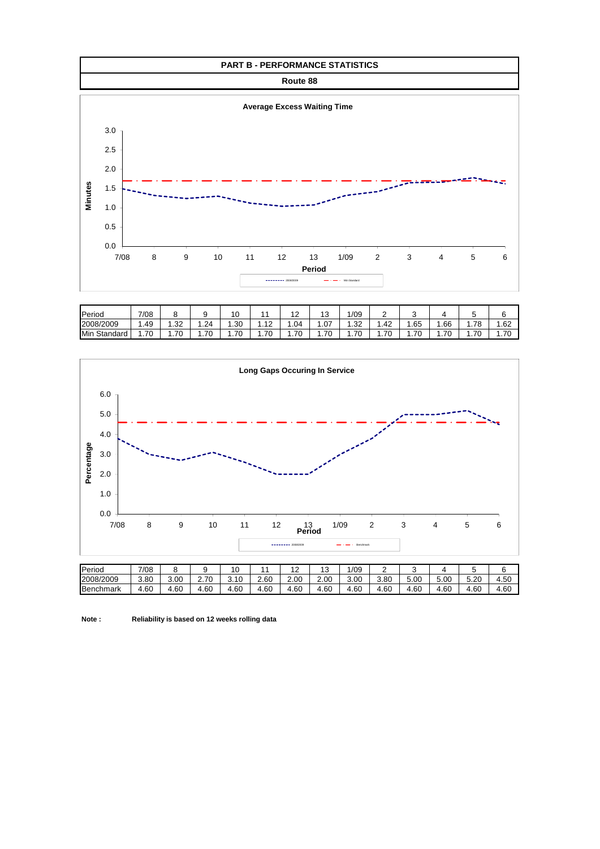

| Period          | 7/08     | . .       |         | 10                  |                       | $\overline{ }$<br>. . | $\overline{A}$<br>ں ا | 1/09         | ╭<br>- | w     |         |                         |         |
|-----------------|----------|-----------|---------|---------------------|-----------------------|-----------------------|-----------------------|--------------|--------|-------|---------|-------------------------|---------|
| 2008/2009       | . 49     | ററ<br>ےں. | .24     | .30                 | $\overline{a}$<br>. . | . .04                 | 07. ا                 | າາ<br>ےں. ا  | .42    | . 65  | . 66    | 70<br>.                 | 1.62    |
| Min<br>Standard | .70<br>. | . 70      | 70<br>. | 70<br><b>U</b><br>. | 70<br>. .             | . .70                 | 70<br>. <i>. .</i>    | 70<br>.<br>ັ | .70    | . .70 | . 70. ، | 7 <sup>c</sup><br>.<br> | 70<br>. |



**Note : Reliability is based on 12 weeks rolling data**